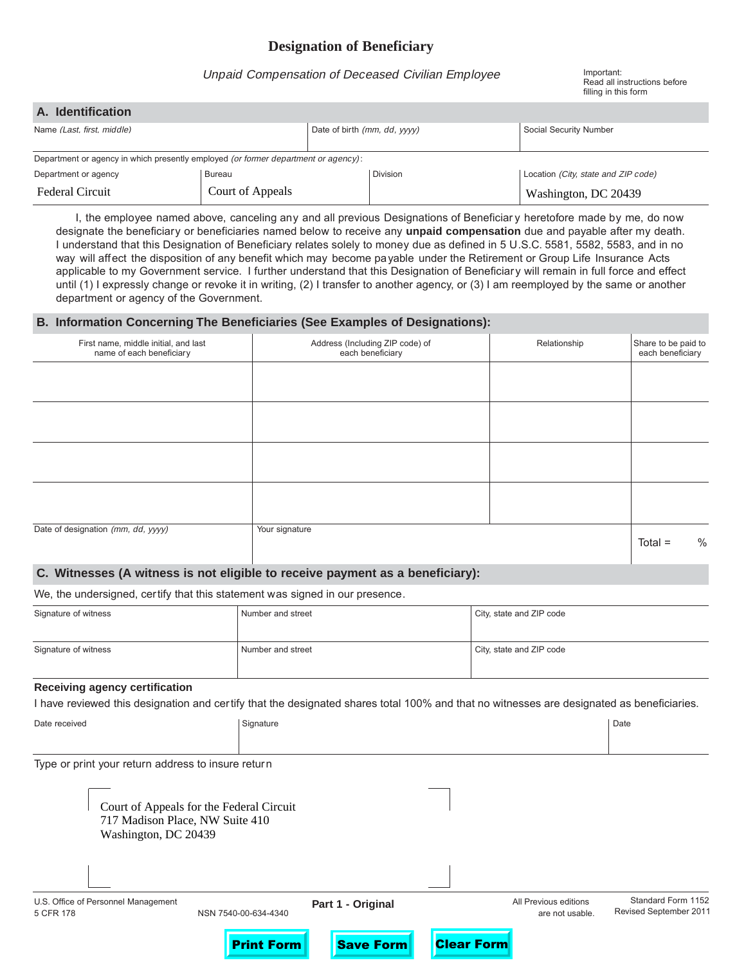# **Designation of Beneficiary**

## Unpaid Compensation of Deceased Civilian Employee Important:

Read all instructions before filling in this form

| A. Identification                                                                  |                  |                              |                 |                                     |  |  |
|------------------------------------------------------------------------------------|------------------|------------------------------|-----------------|-------------------------------------|--|--|
| Name (Last, first, middle)                                                         |                  | Date of birth (mm, dd, yyyy) |                 | Social Security Number              |  |  |
| Department or agency in which presently employed (or former department or agency): |                  |                              |                 |                                     |  |  |
| Department or agency                                                               | Bureau           |                              | <b>Division</b> | Location (City, state and ZIP code) |  |  |
| <b>Federal Circuit</b>                                                             | Court of Appeals |                              |                 | Washington, DC 20439                |  |  |

I, the employee named above, canceling any and all previous Designations of Beneficiar y heretofore made by me, do now designate the beneficiary or beneficiaries named below to receive any **unpaid compensation** due and payable after my death. I understand that this Designation of Beneficiary relates solely to money due as defined in 5 U.S.C. 5581, 5582, 5583, and in no way will affect the disposition of any benefit which may become payable under the Retirement or Group Life Insurance Acts applicable to my Government service. I further understand that this Designation of Beneficiary will remain in full force and effect until (1) I expressly change or revoke it in writing, (2) I transfer to another agency, or (3) I am reemployed by the same or another department or agency of the Government.

## **B. Information Concerning The Beneficiaries (See Examples of Designations):**

| First name, middle initial, and last<br>name of each beneficiary | Address (Including ZIP code) of<br>each beneficiary | Relationship | Share to be paid to<br>each beneficiary |
|------------------------------------------------------------------|-----------------------------------------------------|--------------|-----------------------------------------|
|                                                                  |                                                     |              |                                         |
|                                                                  |                                                     |              |                                         |
|                                                                  |                                                     |              |                                         |
|                                                                  |                                                     |              |                                         |
|                                                                  |                                                     |              |                                         |
|                                                                  |                                                     |              |                                         |
| Date of designation (mm, dd, yyyy)                               | Your signature                                      |              | $\%$<br>$Total =$                       |

## **C. Witnesses (A witness is not eligible to receive payment as a beneficiary):**

We, the undersigned, certify that this statement was signed in our presence.

| Signature of witness | Number and street | City, state and ZIP code |
|----------------------|-------------------|--------------------------|
| Signature of witness | Number and street | City, state and ZIP code |

#### **Receiving agency certification**

I have reviewed this designation and certify that the designated shares total 100% and that no witnesses are designated as beneficiaries.

| Date received                                           | Signature                                |                   |                   |                                          | Date                                         |
|---------------------------------------------------------|------------------------------------------|-------------------|-------------------|------------------------------------------|----------------------------------------------|
|                                                         |                                          |                   |                   |                                          |                                              |
| Type or print your return address to insure return      |                                          |                   |                   |                                          |                                              |
| 717 Madison Place, NW Suite 410<br>Washington, DC 20439 | Court of Appeals for the Federal Circuit |                   |                   |                                          |                                              |
|                                                         |                                          |                   |                   |                                          |                                              |
| U.S. Office of Personnel Management<br>5 CFR 178        | NSN 7540-00-634-4340                     | Part 1 - Original |                   | All Previous editions<br>are not usable. | Standard Form 1152<br>Revised September 2011 |
|                                                         | <b>Print Form</b>                        | <b>Save Form</b>  | <b>Clear Form</b> |                                          |                                              |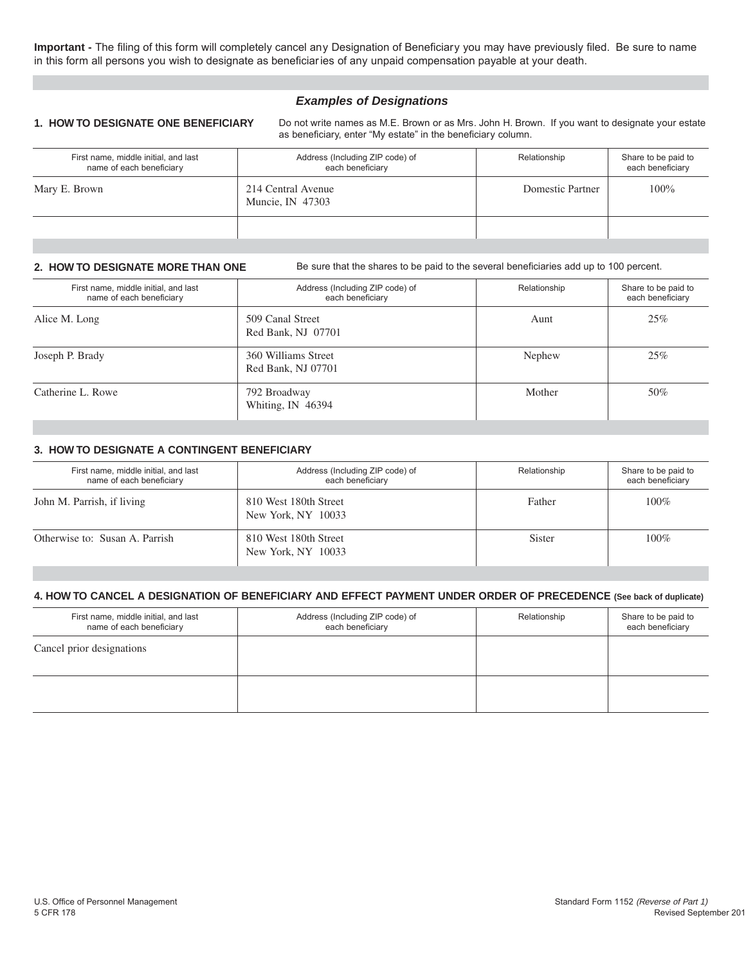**Important -** The filing of this form will completely cancel any Designation of Beneficiary you may have previously filed. Be sure to name in this form all persons you wish to designate as beneficiaries of any unpaid compensation payable at your death.

## **Examples of Designations**

**1. HOW TO DESIGNATE ONE BENEFICIARY** Do not write names as M.E. Brown or as Mrs. John H. Brown. If you want to designate your estate as beneficiary, enter "My estate" in the beneficiary column.

| First name, middle initial, and last<br>name of each beneficiary | Address (Including ZIP code) of<br>each beneficiary | Relationship     | Share to be paid to<br>each beneficiary |
|------------------------------------------------------------------|-----------------------------------------------------|------------------|-----------------------------------------|
| Mary E. Brown                                                    | 214 Central Avenue<br>Muncie, IN 47303              | Domestic Partner | 100%                                    |
|                                                                  |                                                     |                  |                                         |

**2. HOW TO DESIGNATE MORE THAN ONE** Be sure that the shares to be paid to the several beneficiaries add up to 100 percent.

| First name, middle initial, and last<br>name of each beneficiary | Address (Including ZIP code) of<br>each beneficiary | Relationship | Share to be paid to<br>each beneficiary |
|------------------------------------------------------------------|-----------------------------------------------------|--------------|-----------------------------------------|
| Alice M. Long                                                    | 509 Canal Street<br>Red Bank, NJ 07701              | Aunt         | 25%                                     |
| Joseph P. Brady                                                  | 360 Williams Street<br>Red Bank, NJ 07701           | Nephew       | 25%                                     |
| Catherine L. Rowe                                                | 792 Broadway<br>Whiting, IN 46394                   | Mother       | 50%                                     |

## **3. HOW TO DESIGNATE A CONTINGENT BENEFICIARY**

| First name, middle initial, and last<br>name of each beneficiary | Address (Including ZIP code) of<br>each beneficiary | Relationship | Share to be paid to<br>each beneficiary |
|------------------------------------------------------------------|-----------------------------------------------------|--------------|-----------------------------------------|
| John M. Parrish, if living                                       | 810 West 180th Street<br>New York, NY 10033         | Father       | $100\%$                                 |
| Otherwise to: Susan A. Parrish                                   | 810 West 180th Street<br>New York, NY 10033         | Sister       | $100\%$                                 |

#### **4. HOW TO CANCEL A DESIGNATION OF BENEFICIARY AND EFFECT PAYMENT UNDER ORDER OF PRECEDENCE (See back of duplicate)**

| First name, middle initial, and last<br>name of each beneficiary | Address (Including ZIP code) of<br>each beneficiary | Relationship | Share to be paid to<br>each beneficiary |
|------------------------------------------------------------------|-----------------------------------------------------|--------------|-----------------------------------------|
| Cancel prior designations                                        |                                                     |              |                                         |
|                                                                  |                                                     |              |                                         |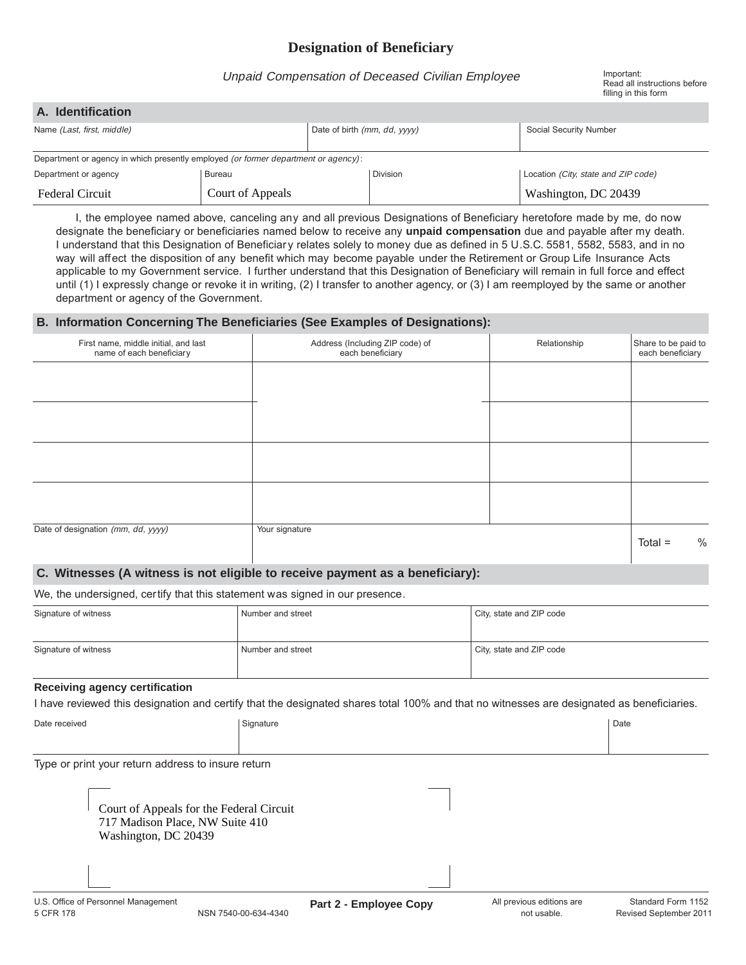# **Designation of Beneficiary**

## Unpaid Compensation of Deceased Civilian Employee Important:

Read all instructions before filling in this form

| A. Identification                                                                  |                  |                              |          |                                     |  |  |  |
|------------------------------------------------------------------------------------|------------------|------------------------------|----------|-------------------------------------|--|--|--|
| Name (Last, first, middle)                                                         |                  | Date of birth (mm, dd, yyyy) |          | Social Security Number              |  |  |  |
|                                                                                    |                  |                              |          |                                     |  |  |  |
| Department or agency in which presently employed (or former department or agency): |                  |                              |          |                                     |  |  |  |
| Department or agency                                                               | <b>Bureau</b>    |                              | Division | Location (City, state and ZIP code) |  |  |  |
| <b>Federal Circuit</b>                                                             | Court of Appeals |                              |          | Washington, DC 20439                |  |  |  |

I, the employee named above, canceling any and all previous Designations of Beneficiary heretofore made by me, do now designate the beneficiary or beneficiaries named below to receive any **unpaid compensation** due and payable after my death. I understand that this Designation of Beneficiary relates solely to money due as defined in 5 U.S.C. 5581, 5582, 5583, and in no way will affect the disposition of any benefit which may become payable under the Retirement or Group Life Insurance Acts applicable to my Government service. I further understand that this Designation of Beneficiary will remain in full force and effect until (1) I expressly change or revoke it in writing, (2) I transfer to another agency, or (3) I am reemployed by the same or another department or agency of the Government.

### **B. Information Concerning The Beneficiaries (See Examples of Designations):**

| First name, middle initial, and last<br>name of each beneficiary | Address (Including ZIP code) of<br>each beneficiary | Relationship | Share to be paid to<br>each beneficiary |
|------------------------------------------------------------------|-----------------------------------------------------|--------------|-----------------------------------------|
|                                                                  |                                                     |              |                                         |
|                                                                  |                                                     |              |                                         |
|                                                                  |                                                     |              |                                         |
|                                                                  |                                                     |              |                                         |
|                                                                  |                                                     |              |                                         |
| Date of designation (mm, dd, yyyy)                               | Your signature                                      |              | $\%$<br>$Total =$                       |

#### **C. Witnesses (A witness is not eligible to receive payment as a beneficiary):**

We, the undersigned, certify that this statement was signed in our presence.

| Signature of witness | Number and street | City, state and ZIP code |
|----------------------|-------------------|--------------------------|
| Signature of witness | Number and street | City, state and ZIP code |

#### **Receiving agency certification**

I have reviewed this designation and certify that the designated shares total 100% and that no witnesses are designated as beneficiaries.

| Date received | Signature | Date |
|---------------|-----------|------|
|               |           |      |
|               |           |      |

Type or print your return address to insure return

| Court of Appeals for the Federal Circuit |
|------------------------------------------|
| 717 Madison Place, NW Suite 410          |
| Washington, DC 20439                     |